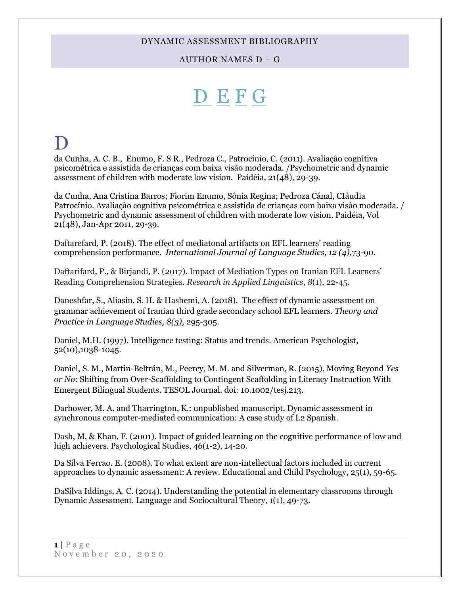AUTHOR NAMES D – G

# <span id="page-0-1"></span>[D](#page-0-0) [E](#page-5-0) [F](#page-9-0) [G](#page-16-0)

## <span id="page-0-0"></span> $\bf D$

da Cunha, A. C. B., Enumo, F. S R., Pedroza C., Patrocínio, C. (2011). Avaliação cognitiva psicométrica e assistida de crianças com baixa visão moderada. /Psychometric and dynamic assessment of children with moderate low vision. Paidéia, 21(48), 29-39.

da Cunha, Ana Cristina Barros; Fiorim Enumo, Sônia Regina; Pedroza Cánal, CIáudia Patrocínio. Avaliação cognitiva psicométrica e assistida de crianças com baixa visão moderada. / Psychometric and dynamic assessment of children with moderate low vision. Paidéia, Vol 21(48), Jan-Apr 2011, 29-39.

Daftarefard, P. (2018). The effect of mediatonal artifacts on EFL learners' reading comprehension performance. *International Journal of Language Studies, 12 (4),*73-90.

Daftarifard, P., & Birjandi, P. (2017). Impact of Mediation Types on Iranian EFL Learners' Reading Comprehension Strategies. *Research in Applied Linguistics*, *8*(1), 22-45.

Daneshfar, S., Aliasin, S. H. & Hashemi, A. (2018). The effect of dynamic assessment on grammar achievement of Iranian third grade secondary school EFL learners. *Theory and Practice in Language Studies, 8(3),* 295-305.

Daniel, M.H. (1997). Intelligence testing: Status and trends. American Psychologist, 52(10),1038-1045.

Daniel, S. M., Martin-Beltrán, M., Peercy, M. M. and Silverman, R. (2015), Moving Beyond *Yes or No*: Shifting from Over-Scaffolding to Contingent Scaffolding in Literacy Instruction With Emergent Bilingual Students. TESOL Journal. doi: 10.1002/tesj.213.

Darhower, M. A. and Tharrington, K.: unpublished manuscript, Dynamic assessment in synchronous computer-mediated communication: A case study of L2 Spanish.

Dash, M, & Khan, F. (2001). Impact of guided learning on the cognitive performance of low and high achievers. Psychological Studies, 46(1-2), 14-20.

Da Silva Ferrao. E. (2008). To what extent are non-intellectual factors included in current approaches to dynamic assessment: A review. Educational and Child Psychology, 25(1), 59-65.

DaSilva Iddings, A. C. (2014). Understanding the potential in elementary classrooms through Dynamic Assessment. Language and Sociocultural Theory, 1(1), 49-73.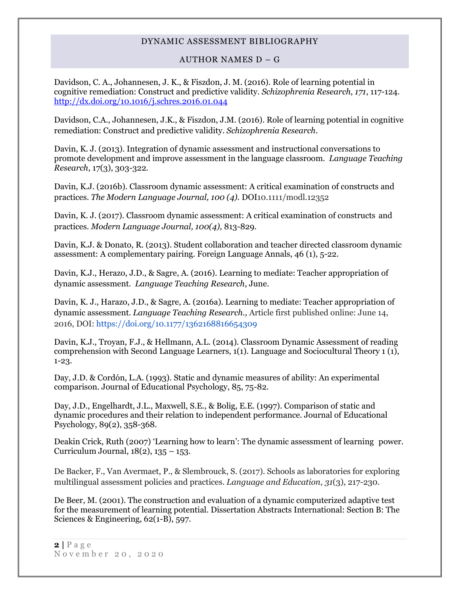### AUTHOR NAMES D – G

[Davidson, C.](http://psycnet.apa.org/index.cfm?fa=search.searchResults&latSearchType=a&term=Davidson,%20Charlie%20A.) A., [Johannesen, J.](http://psycnet.apa.org/index.cfm?fa=search.searchResults&latSearchType=a&term=Johannesen,%20Jason%20K.) K., & [Fiszdon, J.](http://psycnet.apa.org/index.cfm?fa=search.searchResults&latSearchType=a&term=Fiszdon,%20Joanna%20M.) M. (2016). Role of learning potential in cognitive remediation: Construct and predictive validity. *Schizophrenia Research*, *171*, 117-124. [http://dx.doi.org/10.1016/j.schres.2016.01.044](http://psycnet.apa.org/doi/10.1016/j.schres.2016.01.044)

Davidson, C.A., Johannesen, J.K., & Fiszdon, J.M. (2016). Role of learning potential in cognitive remediation: Construct and predictive validity. *Schizophrenia Research*.

Davin, K. J. (2013). Integration of dynamic assessment and instructional conversations to promote development and improve assessment in the language classroom. *Language Teaching Research*, 17(3), 303-322.

Davin, K.J. (2016b). Classroom dynamic assessment: A critical examination of constructs and practices. *The Modern Language Journal, 100 (4).* DOI10.1111/modl.12352

Davin, K. J. (2017). Classroom dynamic assessment: A critical examination of constructs and practices. *Modern Language Journal, 100(4),* 813-829*.*

Davin, K.J. & Donato, R. (2013). Student collaboration and teacher directed classroom dynamic assessment: A complementary pairing. Foreign Language Annals, 46 (1), 5-22.

Davin, K.J., Herazo, J.D., & Sagre, A. (2016). Learning to mediate: Teacher appropriation of dynamic assessment. *Language Teaching Research*, June.

Davin, K. J., Harazo, J.D., & Sagre, A. (2016a). Learning to mediate: Teacher appropriation of dynamic assessment. *Language Teaching Research.,* Article first published online: June 14, 2016, DOI:<https://doi.org/10.1177/1362168816654309>

Davin, K.J., Troyan, F.J., & Hellmann, A.L. (2014). Classroom Dynamic Assessment of reading comprehension with Second Language Learners, 1(1). Language and Sociocultural Theory 1 (1), 1-23.

Day, J.D. & Cordón, L.A. (1993). Static and dynamic measures of ability: An experimental comparison. Journal of Educational Psychology, 85, 75-82.

Day, J.D., Engelhardt, J.L., Maxwell, S.E., & Bolig, E.E. (1997). Comparison of static and dynamic procedures and their relation to independent performance. Journal of Educational Psychology, 89(2), 358-368.

Deakin Crick, Ruth (2007) 'Learning how to learn': The dynamic assessment of learning power. Curriculum Journal, 18(2), 135 – 153.

De Backer, F., Van Avermaet, P., & Slembrouck, S. (2017). Schools as laboratories for exploring multilingual assessment policies and practices. *Language and Education*, *31*(3), 217-230.

De Beer, M. (2001). The construction and evaluation of a dynamic computerized adaptive test for the measurement of learning potential. Dissertation Abstracts International: Section B: The Sciences & Engineering, 62(1-B), 597.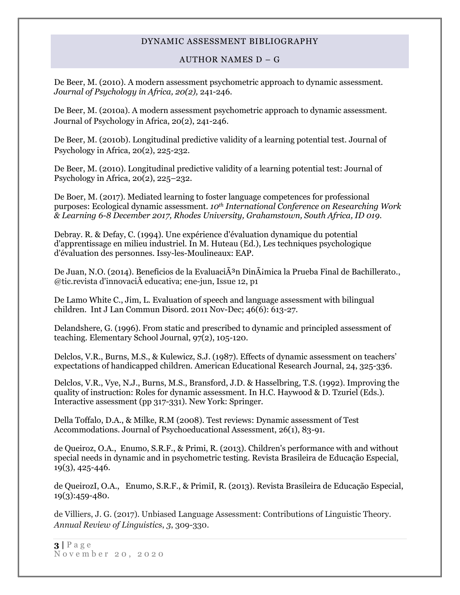#### AUTHOR NAMES D – G

De Beer, M. (2010). [A modern assessment psychometric approach to dynamic assessment.](http://psycnet.apa.org/index.cfm?fa=search.displayRecord&id=B6F4B90D-9E21-EC1C-6F6D-88415430527F&resultID=17&page=1&dbTab=all) *Journal of Psychology in Africa, 20(2),* 241-246.

De Beer, M. (2010a). A modern assessment psychometric approach to dynamic assessment. Journal of Psychology in Africa, 20(2), 241-246.

De Beer, M. (2010b). Longitudinal predictive validity of a learning potential test. Journal of Psychology in Africa, 20(2), 225-232.

De Beer, M. (2010). Longitudinal predictive validity of a learning potential test: Journal of Psychology in Africa, 20(2), 225–232.

De Boer, M. (2017). Mediated learning to foster language competences for professional purposes: Ecological dynamic assessment. *10th International Conference on Researching Work & Learning 6-8 December 2017, Rhodes University, Grahamstown, South Africa, ID 019.*

Debray. R. & Defay, C. (1994). Une expérience d'évaluation dynamique du potential d'apprentissage en milieu industriel. In M. Huteau (Ed.), Les techniques psychologique d'évaluation des personnes. Issy-les-Moulineaux: EAP.

De Juan, N.O. (2014). Beneficios de la Evaluaci $\tilde{A}^3$ n Din $\tilde{A}$ imica la Prueba Final de Bachillerato., @tic.revista d'innovacià educativa; ene-jun, Issue 12, p1

De Lamo White C., Jim, L. Evaluation of speech and language assessment with bilingual children. Int J Lan Commun Disord. 2011 Nov-Dec; 46(6): 613-27.

Delandshere, G. (1996). From static and prescribed to dynamic and principled assessment of teaching. Elementary School Journal, 97(2), 105-120.

Delclos, V.R., Burns, M.S., & Kulewicz, S.J. (1987). Effects of dynamic assessment on teachers' expectations of handicapped children. American Educational Research Journal, 24, 325-336.

Delclos, V.R., Vye, N.J., Burns, M.S., Bransford, J.D. & Hasselbring, T.S. (1992). Improving the quality of instruction: Roles for dynamic assessment. In H.C. Haywood & D. Tzuriel (Eds.). Interactive assessment (pp 317-331). New York: Springer.

Della Toffalo, D.A., & Milke, R.M (2008). Test reviews: Dynamic assessment of Test Accommodations. Journal of Psychoeducational Assessment, 26(1), 83-91.

de Queiroz, O.A., Enumo, S.R.F., & Primi, R. (2013). Children's performance with and without special needs in dynamic and in psychometric testing. Revista Brasileira de Educação Especial,  $19(3)$ , 425-446.

de QueirozI, O.A., Enumo, S.R.F., & PrimiI, R. (2013). Revista Brasileira de Educação Especial, 19(3):459-480.

de Villiers, J. G. (2017). Unbiased Language Assessment: Contributions of Linguistic Theory. *Annual Review of Linguistics*, *3*, 309-330.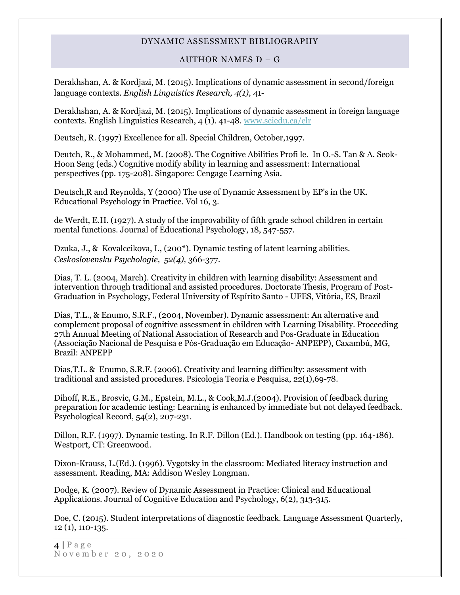#### AUTHOR NAMES D – G

Derakhshan, A. & Kordjazi, M. (2015). Implications of dynamic assessment in second/foreign language contexts. *English Linguistics Research, 4(1),* 41-

Derakhshan, A. & Kordjazi, M. (2015). Implications of dynamic assessment in foreign language contexts. English Linguistics Research,  $\overline{4}$  (1). 41-48. [www.sciedu.ca/elr](http://www.sciedu.ca/elr)

Deutsch, R. (1997) Excellence for all. Special Children, October,1997.

Deutch, R., & Mohammed, M. (2008). The Cognitive Abilities Profi le. In O.-S. Tan & A. Seok-Hoon Seng (eds.) Cognitive modify ability in learning and assessment: International perspectives (pp. 175-208). Singapore: Cengage Learning Asia.

Deutsch,R and Reynolds, Y (2000) The use of Dynamic Assessment by EP's in the UK. Educational Psychology in Practice. Vol 16, 3.

de Werdt, E.H. (1927). A study of the improvability of fifth grade school children in certain mental functions. Journal of Educational Psychology, 18, 547-557.

Dzuka, J., & Kovalccikova, I., (200\*). Dynamic testing of latent learning abilities. *Ceskoslovensku Psychologie, 52(4),* 366-377.

Dias, T. L. (2004, March). Creativity in children with learning disability: Assessment and intervention through traditional and assisted procedures. Doctorate Thesis, Program of Post-Graduation in Psychology, Federal University of Espírito Santo - UFES, Vitória, ES, Brazil

Dias, T.L., & Enumo, S.R.F., (2004, November). Dynamic assessment: An alternative and complement proposal of cognitive assessment in children with Learning Disability. Proceeding 27th Annual Meeting of National Association of Research and Pos-Graduate in Education (Associação Nacional de Pesquisa e Pós-Graduação em Educação- ANPEPP), Caxambú, MG, Brazil: ANPEPP

Dias,T.L. & Enumo, S.R.F. (2006). Creativity and learning difficulty: assessment with traditional and assisted procedures. Psicologia Teoria e Pesquisa, 22(1),69-78.

Dihoff, R.E., Brosvic, G.M., Epstein, M.L., & Cook,M.J.(2004). Provision of feedback during preparation for academic testing: Learning is enhanced by immediate but not delayed feedback. Psychological Record, 54(2), 207-231.

Dillon, R.F. (1997). Dynamic testing. In R.F. Dillon (Ed.). Handbook on testing (pp. 164-186). Westport, CT: Greenwood.

Dixon-Krauss, L.(Ed.). (1996). Vygotsky in the classroom: Mediated literacy instruction and assessment. Reading, MA: Addison Wesley Longman.

Dodge, K. (2007). Review of Dynamic Assessment in Practice: Clinical and Educational Applications. Journal of Cognitive Education and Psychology, 6(2), 313-315.

Doe, C. (2015). Student interpretations of diagnostic feedback. Language Assessment Quarterly, 12 (1), 110-135.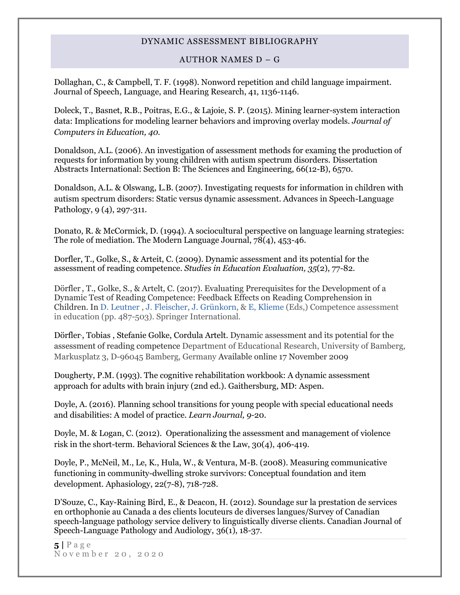#### AUTHOR NAMES D – G

Dollaghan, C., & Campbell, T. F. (1998). Nonword repetition and child language impairment. Journal of Speech, Language, and Hearing Research, 41, 1136-1146.

Doleck, T., Basnet, R.B., Poitras, E.G., & Lajoie, S. P. (2015). Mining learner-system interaction data: Implications for modeling learner behaviors and improving overlay models. *Journal of Computers in Education, 40.*

Donaldson, A.L. (2006). An investigation of assessment methods for examing the production of requests for information by young children with autism spectrum disorders. Dissertation Abstracts International: Section B: The Sciences and Engineering, 66(12-B), 6570.

Donaldson, A.L. & Olswang, L.B. (2007). Investigating requests for information in children with autism spectrum disorders: Static versus dynamic assessment. Advances in Speech-Language Pathology, 9 (4), 297-311.

Donato, R. & McCormick, D. (1994). A sociocultural perspective on language learning strategies: The role of mediation. The Modern Language Journal, 78(4), 453-46.

Dorfler, T., Golke, S., & Arteit, C. (2009). Dynamic assessment and its potential for the assessment of reading competence. *Studies in Education Evaluation, 35*(2), 77-82.

Dörfle[r](mailto:doerfler@ph-heidelberg.de) , T., Golke, S., & Artelt, C. (2017). Evaluating Prerequisites for the Development of a Dynamic Test of Reading Competence: Feedback Effects on Reading Comprehension in Children. I[n D. Leutner](http://link.springer.com/search?facet-creator=%22Detlev+Leutner%22) , [J. Fleischer,](http://link.springer.com/search?facet-creator=%22Jens+Fleischer%22) [J. Grünkorn,](http://link.springer.com/search?facet-creator=%22Juliane+Gr%C3%BCnkorn%22) & [E, Klieme](http://link.springer.com/search?facet-creator=%22Eckhard+Klieme%22) (Eds,) Competence assessment in education (pp. 487-503). Springer International.

Dörfler, , Tobias , Stefanie Golke, Cordula Artelt. Dynamic assessment and its potential for the assessment of reading competence Department of Educational Research, University of Bamberg, Markusplatz 3, D-96045 Bamberg, Germany Available online 17 November 2009

Dougherty, P.M. (1993). The cognitive rehabilitation workbook: A dynamic assessment approach for adults with brain injury (2nd ed.). Gaithersburg, MD: Aspen.

Doyle, A. (2016). Planning school transitions for young people with special educational needs and disabilities: A model of practice. *Learn Journal, 9-*20.

Doyle, M. & Logan, C. (2012). Operationalizing the assessment and management of violence risk in the short-term. Behavioral Sciences & the Law, 30(4), 406-419.

Doyle, P., McNeil, M., Le, K., Hula, W., & Ventura, M-B. (2008). Measuring communicative functioning in community-dwelling stroke survivors: Conceptual foundation and item development. Aphasiology, 22(7-8), 718-728.

D'Souze, C., Kay-Raining Bird, E., & Deacon, H. (2012). Soundage sur la prestation de services en orthophonie au Canada a des clients locuteurs de diverses langues/Survey of Canadian speech-language pathology service delivery to linguistically diverse clients. Canadian Journal of Speech-Language Pathology and Audiology, 36(1), 18-37.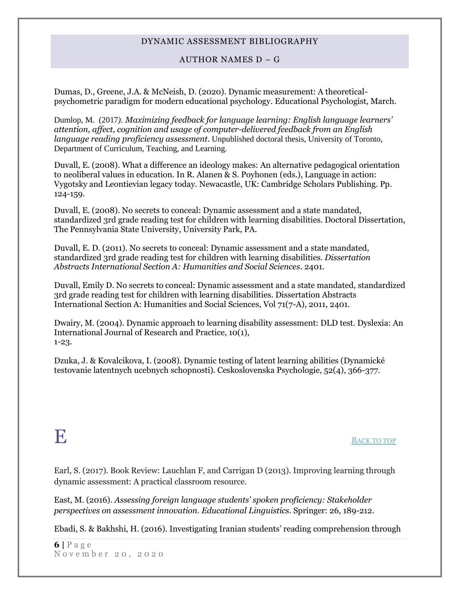#### AUTHOR NAMES D – G

Dumas, D., Greene, J.A. & McNeish, D. (2020). Dynamic measurement: A theoreticalpsychometric paradigm for modern educational psychology. Educational Psychologist, March.

Dumlop, M. (2017*). Maximizing feedback for language learning: English language learners' attention, affect, cognition and usage of computer-delivered feedback from an English language reading proficiency assessment*. Unpublished doctoral thesis, University of Toronto, Department of Curriculum, Teaching, and Learning.

Duvall, E. (2008). What a difference an ideology makes: An alternative pedagogical orientation to neoliberal values in education. In R. Alanen & S. Poyhonen (eds.), Language in action: Vygotsky and Leontievian legacy today. Newacastle, UK: Cambridge Scholars Publishing. Pp. 124-159.

Duvall, E. (2008). No secrets to conceal: Dynamic assessment and a state mandated, standardized 3rd grade reading test for children with learning disabilities. Doctoral Dissertation, The Pennsylvania State University, University Park, PA.

Duvall, E. D. (2011). No secrets to conceal: Dynamic assessment and a state mandated, standardized 3rd grade reading test for children with learning disabilities*. Dissertation Abstracts International Section A: Humanities and Social Sciences*. 2401.

Duvall, Emily D. No secrets to conceal: Dynamic assessment and a state mandated, standardized 3rd grade reading test for children with learning disabilities. Dissertation Abstracts International Section A: Humanities and Social Sciences, Vol 71(7-A), 2011, 2401.

Dwairy, M. (2004). Dynamic approach to learning disability assessment: DLD test. Dyslexia: An International Journal of Research and Practice, 10(1), 1-23.

<span id="page-5-0"></span>Dzuka, J. & Kovalcikova, I. (2008). Dynamic testing of latent learning abilities (Dynamické testovanie latentnych ucebnych schopnosti). Ceskoslovenska Psychologie, 52(4), 366-377.

## E <sup>B</sup>[ACK TO TOP](#page-0-1)

Earl, S. (2017). Book Review: Lauchlan F, and Carrigan D (2013). Improving learning through dynamic assessment: A practical classroom resource.

East, M. (2016). *Assessing foreign language students' spoken proficiency: Stakeholder perspectives on assessment innovation. Educational Linguistics*. Springer: 26, 189-212.

Ebadi, S. & Bakhshi, H. (2016). Investigating Iranian students' reading comprehension through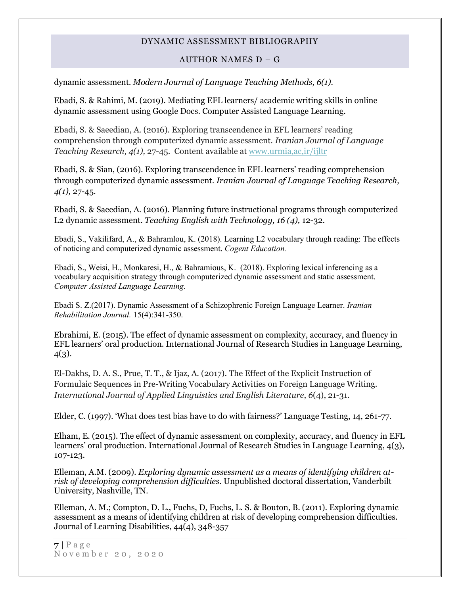#### AUTHOR NAMES D – G

dynamic assessment. *Modern Journal of Language Teaching Methods, 6(1).*

Ebadi, S. & Rahimi, M. (2019). Mediating EFL learners/ academic writing skills in online dynamic assessment using Google Docs. Computer Assisted Language Learning.

Ebadi, S. & Saeedian, A. (2016). Exploring transcendence in EFL learners' reading comprehension through computerized dynamic assessment. *Iranian Journal of Language Teaching Research, 4(1),* 27-45. Content available at [www.urmia,ac,ir/ijltr](http://www.urmia,ac,ir/ijltr)

Ebadi, S. & Sian, (2016). Exploring transcendence in EFL learners' reading comprehension through computerized dynamic assessment. *Iranian Journal of Language Teaching Research, 4(1),* 27-45.

Ebadi, S. & Saeedian, A. (2016). Planning future instructional programs through computerized L2 dynamic assessment. *Teaching English with Technology, 16 (4),* 12-32.

Ebadi, S., Vakilifard, A., & Bahramlou, K. (2018). Learning L2 vocabulary through reading: The effects of noticing and computerized dynamic assessment. *Cogent Education.*

Ebadi, S., Weisi, H., Monkaresi, H., & Bahramious, K. (2018). Exploring lexical inferencing as a vocabulary acquisition strategy through computerized dynamic assessment and static assessment. *Computer Assisted Language Learning.*

Ebadi S. Z.(2017). Dynamic Assessment of a Schizophrenic Foreign Language Learner. *Iranian Rehabilitation Journal.* 15(4):341-350.

Ebrahimi, E. (2015). The effect of dynamic assessment on complexity, accuracy, and fluency in EFL learners' oral production. International Journal of Research Studies in Language Learning, 4(3).

El-Dakhs, D. A. S., Prue, T. T., & Ijaz, A. (2017). The Effect of the Explicit Instruction of Formulaic Sequences in Pre-Writing Vocabulary Activities on Foreign Language Writing. *International Journal of Applied Linguistics and English Literature*, *6*(4), 21-31.

Elder, C. (1997). 'What does test bias have to do with fairness?' Language Testing, 14, 261-77.

Elham, E. (2015). The effect of dynamic assessment on complexity, accuracy, and fluency in EFL learners' oral production. International Journal of Research Studies in Language Learning, 4(3), 107-123.

Elleman, A.M. (2009). *Exploring dynamic assessment as a means of identifying children atrisk of developing comprehension difficulties.* Unpublished doctoral dissertation, Vanderbilt University, Nashville, TN.

Elleman, A. M.; Compton, D. L., Fuchs, D, Fuchs, L. S. & Bouton, B. (2011). Exploring dynamic assessment as a means of identifying children at risk of developing comprehension difficulties. Journal of Learning Disabilities, 44(4), 348-357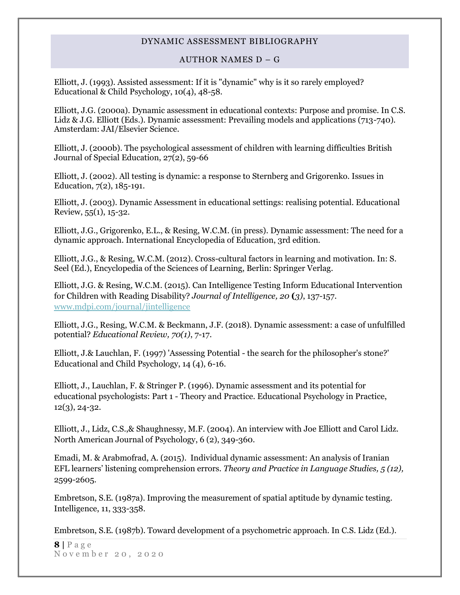#### AUTHOR NAMES D – G

Elliott, J. (1993). Assisted assessment: If it is "dynamic" why is it so rarely employed? Educational & Child Psychology, 10(4), 48-58.

Elliott, J.G. (2000a). Dynamic assessment in educational contexts: Purpose and promise. In C.S. Lidz & J.G. Elliott (Eds.). Dynamic assessment: Prevailing models and applications (713-740). Amsterdam: JAI/Elsevier Science.

Elliott, J. (2000b). The psychological assessment of children with learning difficulties British Journal of Special Education, 27(2), 59-66

Elliott, J. (2002). All testing is dynamic: a response to Sternberg and Grigorenko. Issues in Education, 7(2), 185-191.

Elliott, J. (2003). Dynamic Assessment in educational settings: realising potential. Educational Review, 55(1), 15-32.

Elliott, J.G., Grigorenko, E.L., & Resing, W.C.M. (in press). Dynamic assessment: The need for a dynamic approach. International Encyclopedia of Education, 3rd edition.

Elliott, J.G., & Resing, W.C.M. (2012). Cross-cultural factors in learning and motivation. In: S. Seel (Ed.), Encyclopedia of the Sciences of Learning, Berlin: Springer Verlag.

Elliott, J.G. & Resing, W.C.M. (2015). Can Intelligence Testing Inform Educational Intervention for Children with Reading Disability? *Journal of Intelligence, 20* **(***3)*, 137-157. [www.mdpi.com/journal/jintelligence](http://www.mdpi.com/journal/jintelligence)

Elliott, J.G., Resing, W.C.M. & Beckmann, J.F. (2018). Dynamic assessment: a case of unfulfilled potential? *Educational Review, 70(1)*, 7-17.

Elliott, J.& Lauchlan, F. (1997) 'Assessing Potential - the search for the philosopher's stone?' Educational and Child Psychology, 14 (4), 6-16.

Elliott, J., Lauchlan, F. & Stringer P. (1996). Dynamic assessment and its potential for educational psychologists: Part 1 - Theory and Practice. Educational Psychology in Practice, 12(3), 24-32.

Elliott, J., Lidz, C.S.,& Shaughnessy, M.F. (2004). An interview with Joe Elliott and Carol Lidz. North American Journal of Psychology, 6 (2), 349-360.

Emadi, M. & Arabmofrad, A. (2015). Individual dynamic assessment: An analysis of Iranian EFL learners' listening comprehension errors. *Theory and Practice in Language Studies, 5 (12),*  2599-2605.

Embretson, S.E. (1987a). Improving the measurement of spatial aptitude by dynamic testing. Intelligence, 11, 333-358.

Embretson, S.E. (1987b). Toward development of a psychometric approach. In C.S. Lidz (Ed.).

 $8 | P \text{age}$ N o v e m b e r 2 0 , 2 0 2 0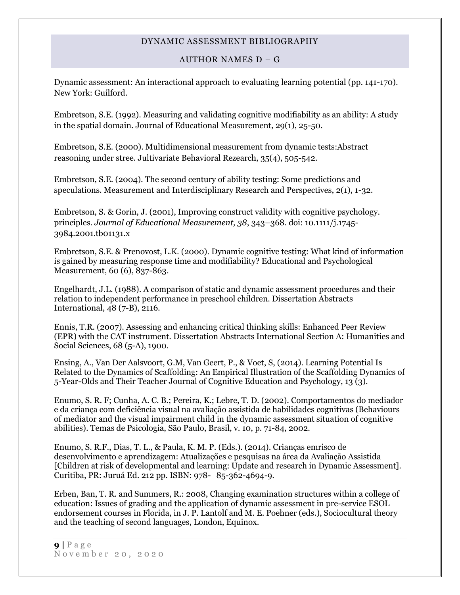### AUTHOR NAMES D – G

Dynamic assessment: An interactional approach to evaluating learning potential (pp. 141-170). New York: Guilford.

Embretson, S.E. (1992). Measuring and validating cognitive modifiability as an ability: A study in the spatial domain. Journal of Educational Measurement, 29(1), 25-50.

Embretson, S.E. (2000). Multidimensional measurement from dynamic tests:Abstract reasoning under stree. Jultivariate Behavioral Rezearch, 35(4), 505-542.

Embretson, S.E. (2004). The second century of ability testing: Some predictions and speculations. Measurement and Interdisciplinary Research and Perspectives, 2(1), 1-32.

Embretson, S. & Gorin, J. (2001), Improving construct validity with cognitive psychology. principles. *Journal of Educational Measurement, 38*, 343–368. doi: 10.1111/j.1745- 3984.2001.tb01131.x

Embretson, S.E. & Prenovost, L.K. (2000). Dynamic cognitive testing: What kind of information is gained by measuring response time and modifiability? Educational and Psychological Measurement, 60 (6), 837-863.

Engelhardt, J.L. (1988). A comparison of static and dynamic assessment procedures and their relation to independent performance in preschool children. Dissertation Abstracts International, 48 (7-B), 2116.

Ennis, T.R. (2007). Assessing and enhancing critical thinking skills: Enhanced Peer Review (EPR) with the CAT instrument. Dissertation Abstracts International Section A: Humanities and Social Sciences, 68 (5-A), 1900.

Ensing, A., Van Der Aalsvoort, G.M, Van Geert, P., & Voet, S, (2014). Learning Potential Is Related to the Dynamics of Scaffolding: An Empirical Illustration of the Scaffolding Dynamics of 5-Year-Olds and Their Teacher Journal of Cognitive Education and Psychology, 13 (3).

Enumo, S. R. F; Cunha, A. C. B.; Pereira, K.; Lebre, T. D. (2002). Comportamentos do mediador e da criança com deficiência visual na avaliação assistida de habilidades cognitivas (Behaviours of mediator and the visual impairment child in the dynamic assessment situation of cognitive abilities). Temas de Psicologia, São Paulo, Brasil, v. 10, p. 71-84, 2002.

Enumo, S. R.F., Dias, T. L., & Paula, K. M. P. (Eds.). (2014). Crianças emrisco de desenvolvimento e aprendizagem: Atualizações e pesquisas na área da Avaliação Assistida [Children at risk of developmental and learning: Update and research in Dynamic Assessment]. Curitiba, PR: Juruá Ed. 212 pp. ISBN: 978- 85-362-4694-9.

Erben, Ban, T. R. and Summers, R.: 2008, Changing examination structures within a college of education: Issues of grading and the application of dynamic assessment in pre-service ESOL endorsement courses in Florida, in J. P. Lantolf and M. E. Poehner (eds.), Sociocultural theory and the teaching of second languages, London, Equinox.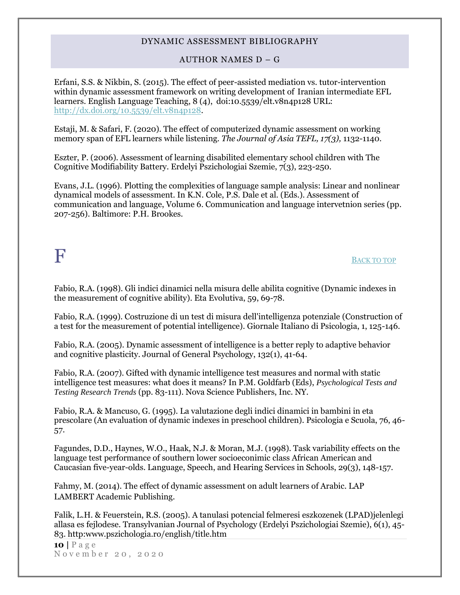#### AUTHOR NAMES D – G

Erfani, S.S. & Nikbin, S. (2015). The effect of peer-assisted mediation vs. tutor-intervention within dynamic assessment framework on writing development of Iranian intermediate EFL learners. English Language Teaching, 8 (4), doi:10.5539/elt.v8n4p128 URL: [http://dx.doi.org/10.5539/elt.v8n4p128.](http://dx.doi.org/10.5539/elt.v8n4p128)

Estaji, M. & Safari, F. (2020). The effect of computerized dynamic assessment on working memory span of EFL learners while listening. *The Journal of Asia TEFL, 17(3),* 1132-1140.

Eszter, P. (2006). Assessment of learning disabilited elementary school children with The Cognitive Modifiability Battery. Erdelyi Pszichologiai Szemie, 7(3), 223-250.

Evans, J.L. (1996). Plotting the complexities of language sample analysis: Linear and nonlinear dynamical models of assessment. In K.N. Cole, P.S. Dale et al. (Eds.). Assessment of communication and language, Volume 6. Communication and language intervetnion series (pp. 207-256). Baltimore: P.H. Brookes.

## <span id="page-9-0"></span> $\mathbf F$  B[ACK TO TOP](#page-0-1)

Fabio, R.A. (1998). Gli indici dinamici nella misura delle abilita cognitive (Dynamic indexes in the measurement of cognitive ability). Eta Evolutiva, 59, 69-78.

Fabio, R.A. (1999). Costruzione di un test di misura dell'intelligenza potenziale (Construction of a test for the measurement of potential intelligence). Giornale Italiano di Psicologia, 1, 125-146.

Fabio, R.A. (2005). Dynamic assessment of intelligence is a better reply to adaptive behavior and cognitive plasticity. Journal of General Psychology, 132(1), 41-64.

Fabio, R.A. (2007). Gifted with dynamic intelligence test measures and normal with static intelligence test measures: what does it means? In P.M. Goldfarb (Eds), *Psychological Tests and Testing Research Trends* (pp. 83-111). Nova Science Publishers, Inc. NY.

Fabio, R.A. & Mancuso, G. (1995). La valutazione degli indici dinamici in bambini in eta prescolare (An evaluation of dynamic indexes in preschool children). Psicologia e Scuola, 76, 46- 57.

Fagundes, D.D., Haynes, W.O., Haak, N.J. & Moran, M.J. (1998). Task variability effects on the language test performance of southern lower socioeconimic class African American and Caucasian five-year-olds. Language, Speech, and Hearing Services in Schools, 29(3), 148-157.

Fahmy, M. (2014). The effect of dynamic assessment on adult learners of Arabic. LAP LAMBERT Academic Publishing.

Falik, L.H. & Feuerstein, R.S. (2005). A tanulasi potencial felmeresi eszkozenek (LPAD)jelenlegi allasa es fejlodese. Transylvanian Journal of Psychology (Erdelyi Pszichologiai Szemie), 6(1), 45- 83. http:www.pszichologia.ro/english/title.htm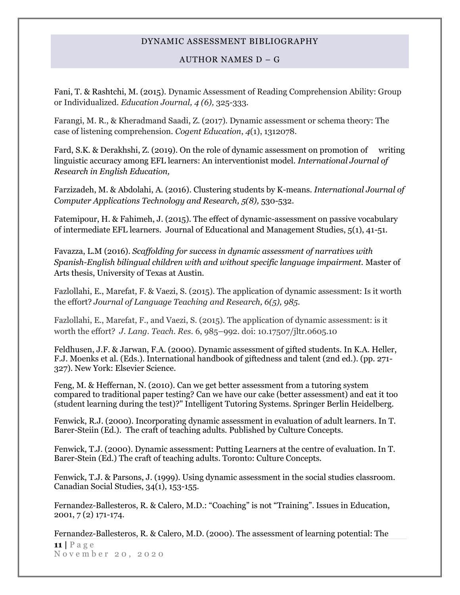AUTHOR NAMES D – G

Fani, T. & Rashtchi, M. (2015). Dynamic Assessment of Reading Comprehension Ability: Group or Individualized. *Education Journal, 4 (6),* 325-333.

Farangi, M. R., & Kheradmand Saadi, Z. (2017). Dynamic assessment or schema theory: The case of listening comprehension. *Cogent Education*, *4*(1), 1312078.

Fard, S.K. & Derakhshi, Z. (2019). On the role of dynamic assessment on promotion of writing linguistic accuracy among EFL learners: An interventionist model. *International Journal of Research in English Education,*

Farzizadeh, M. & Abdolahi, A. (2016). Clustering students by K-means. *International Journal of Computer Applications Technology and Research, 5(8), 530-532.* 

Fatemipour, H. & Fahimeh, J. (2015). The effect of dynamic-assessment on passive vocabulary of intermediate EFL learners. Journal of Educational and Management Studies, 5(1), 41-51.

Favazza, L.M (2016). *Scaffolding for success in dynamic assessment of narratives with Spanish-English bilingual children with and without specific language impairment.* Master of Arts thesis, University of Texas at Austin.

Fazlollahi, E., Marefat, F. & Vaezi, S. (2015). The application of dynamic assessment: Is it worth the effort? *Journal of Language Teaching and Research, 6(5), 985.*

Fazlollahi, E., Marefat, F., and Vaezi, S. (2015). The application of dynamic assessment: is it worth the effort? *J. Lang. Teach. Res.* 6, 985–992. doi: 10.17507/jltr.0605.10

Feldhusen, J.F. & Jarwan, F.A. (2000). Dynamic assessment of gifted students. In K.A. Heller, F.J. Moenks et al. (Eds.). International handbook of giftedness and talent (2nd ed.). (pp. 271- 327). New York: Elsevier Science.

Feng, M. & Heffernan, N. (2010). Can we get better assessment from a tutoring system compared to traditional paper testing? Can we have our cake (better assessment) and eat it too (student learning during the test)?" Intelligent Tutoring Systems. Springer Berlin Heidelberg.

Fenwick, R.J. (2000). Incorporating dynamic assessment in evaluation of adult learners. In T. Barer-Steiin (Ed.). The craft of teaching adults. Published by Culture Concepts.

Fenwick, T.J. (2000). Dynamic assessment: Putting Learners at the centre of evaluation. In T. Barer-Stein (Ed.) The craft of teaching adults. Toronto: Culture Concepts.

Fenwick, T.J. & Parsons, J. (1999). Using dynamic assessment in the social studies classroom. Canadian Social Studies, 34(1), 153-155.

Fernandez-Ballesteros, R. & Calero, M.D.: "Coaching" is not "Training". Issues in Education, 2001, 7 (2) 171-174.

**11 |** P a g e N o v e m b e r 2 0 , 2 0 2 0 Fernandez-Ballesteros, R. & Calero, M.D. (2000). The assessment of learning potential: The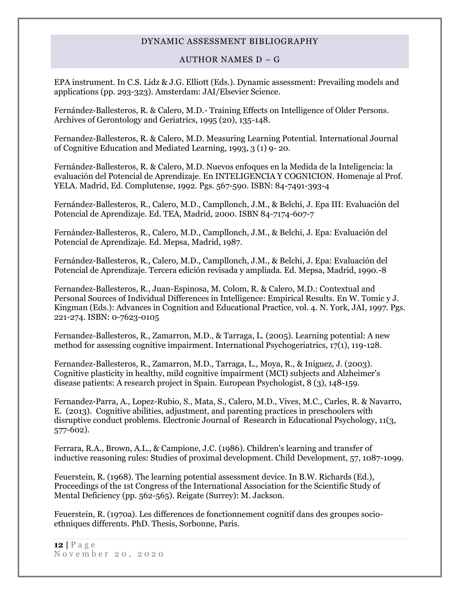#### AUTHOR NAMES D – G

EPA instrument. In C.S. Lidz & J.G. Elliott (Eds.). Dynamic assessment: Prevailing models and applications (pp. 293-323). Amsterdam: JAI/Elsevier Science.

Fernández-Ballesteros, R. & Calero, M.D.- Training Effects on Intelligence of Older Persons. Archives of Gerontology and Geriatrics, 1995 (20), 135-148.

Fernandez-Ballesteros, R. & Calero, M.D. Measuring Learning Potential. International Journal of Cognitive Education and Mediated Learning, 1993, 3 (1) 9- 20.

Fernández-Ballesteros, R. & Calero, M.D. Nuevos enfoques en la Medida de la Inteligencia: la evaluación del Potencial de Aprendizaje. En INTELIGENCIA Y COGNICION. Homenaje al Prof. YELA. Madrid, Ed. Complutense, 1992. Pgs. 567-590. ISBN: 84-7491-393-4

Fernández-Ballesteros, R., Calero, M.D., Campllonch, J.M., & Belchi, J. Epa III: Evaluación del Potencial de Aprendizaje. Ed. TEA, Madrid, 2000. ISBN 84-7174-607-7

Fernández-Ballesteros, R., Calero, M.D., Campllonch, J.M., & Belchi, J. Epa: Evaluación del Potencial de Aprendizaje. Ed. Mepsa, Madrid, 1987.

Fernández-Ballesteros, R., Calero, M.D., Campllonch, J.M., & Belchi, J. Epa: Evaluación del Potencial de Aprendizaje. Tercera edición revisada y ampliada. Ed. Mepsa, Madrid, 1990.-8

Fernandez-Ballesteros, R., Juan-Espinosa, M. Colom, R. & Calero, M.D.: Contextual and Personal Sources of Individual Differences in Intelligence: Empirical Results. En W. Tomic y J. Kingman (Eds.): Advances in Cognition and Educational Practice, vol. 4. N. York, JAI, 1997. Pgs. 221-274. ISBN: 0-7623-0105

Fernandez-Ballesteros, R., Zamarron, M.D., & Tarraga, L. (2005). Learning potential: A new method for assessing cognitive impairment. International Psychogeriatrics, 17(1), 119-128.

Fernandez-Ballesteros, R., Zamarron, M.D., Tarraga, L., Moya, R., & Iniguez, J. (2003). Cognitive plasticity in healthy, mild cognitive impairment (MCI) subjects and Alzheimer's disease patients: A research project in Spain. European Psychologist, 8 (3), 148-159.

Fernandez-Parra, A., Lopez-Rubio, S., Mata, S., Calero, M.D., Vives, M.C., Carles, R. & Navarro, E. (2013). Cognitive abilities, adjustment, and parenting practices in preschoolers with disruptive conduct problems. Electronic Journal of Research in Educational Psychology, 11(3, 577-602).

Ferrara, R.A., Brown, A.L., & Campione, J.C. (1986). Children's learning and transfer of inductive reasoning rules: Studies of proximal development. Child Development, 57, 1087-1099.

Feuerstein, R. (1968). The learning potential assessment device. In B.W. Richards (Ed.), Proceedings of the 1st Congress of the International Association for the Scientific Study of Mental Deficiency (pp. 562-565). Reigate (Surrey): M. Jackson.

Feuerstein, R. (1970a). Les differences de fonctionnement cognitif dans des groupes socioethniques differents. PhD. Thesis, Sorbonne, Paris.

**12 |** P a g e November 20, 2020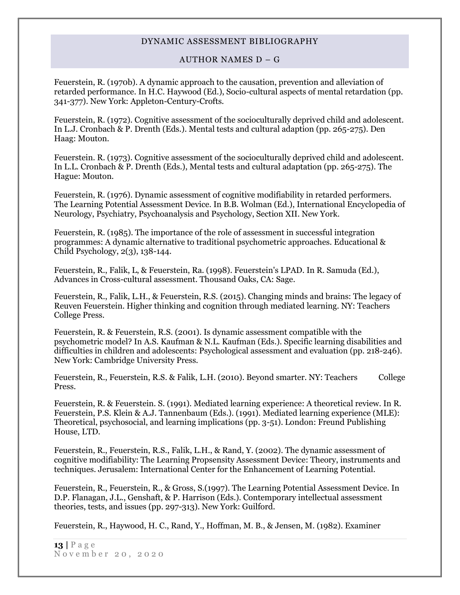#### AUTHOR NAMES D – G

Feuerstein, R. (1970b). A dynamic approach to the causation, prevention and alleviation of retarded performance. In H.C. Haywood (Ed.), Socio-cultural aspects of mental retardation (pp. 341-377). New York: Appleton-Century-Crofts.

Feuerstein, R. (1972). Cognitive assessment of the socioculturally deprived child and adolescent. In L.J. Cronbach & P. Drenth (Eds.). Mental tests and cultural adaption (pp. 265-275). Den Haag: Mouton.

Feuerstein. R. (1973). Cognitive assessment of the socioculturally deprived child and adolescent. In L.L. Cronbach & P. Drenth (Eds.), Mental tests and cultural adaptation (pp. 265-275). The Hague: Mouton.

Feuerstein, R. (1976). Dynamic assessment of cognitive modifiability in retarded performers. The Learning Potential Assessment Device. In B.B. Wolman (Ed.), International Encyclopedia of Neurology, Psychiatry, Psychoanalysis and Psychology, Section XII. New York.

Feuerstein, R. (1985). The importance of the role of assessment in successful integration programmes: A dynamic alternative to traditional psychometric approaches. Educational & Child Psychology, 2(3), 138-144.

Feuerstein, R., Falik, L, & Feuerstein, Ra. (1998). Feuerstein's LPAD. In R. Samuda (Ed.), Advances in Cross-cultural assessment. Thousand Oaks, CA: Sage.

Feuerstein, R., Falik, L.H., & Feuerstein, R.S. (2015). Changing minds and brains: The legacy of Reuven Feuerstein. Higher thinking and cognition through mediated learning. NY: Teachers College Press.

Feuerstein, R. & Feuerstein, R.S. (2001). Is dynamic assessment compatible with the psychometric model? In A.S. Kaufman & N.L. Kaufman (Eds.). Specific learning disabilities and difficulties in children and adolescents: Psychological assessment and evaluation (pp. 218-246). New York: Cambridge University Press.

Feuerstein, R., Feuerstein, R.S. & Falik, L.H. (2010). Beyond smarter. NY: Teachers College Press.

Feuerstein, R. & Feuerstein. S. (1991). Mediated learning experience: A theoretical review. In R. Feuerstein, P.S. Klein & A.J. Tannenbaum (Eds.). (1991). Mediated learning experience (MLE): Theoretical, psychosocial, and learning implications (pp. 3-51). London: Freund Publishing House, LTD.

Feuerstein, R., Feuerstein, R.S., Falik, L.H., & Rand, Y. (2002). The dynamic assessment of cognitive modifiability: The Learning Propsensity Assessment Device: Theory, instruments and techniques. Jerusalem: International Center for the Enhancement of Learning Potential.

Feuerstein, R., Feuerstein, R., & Gross, S.(1997). The Learning Potential Assessment Device. In D.P. Flanagan, J.L., Genshaft, & P. Harrison (Eds.). Contemporary intellectual assessment theories, tests, and issues (pp. 297-313). New York: Guilford.

Feuerstein, R., Haywood, H. C., Rand, Y., Hoffman, M. B., & Jensen, M. (1982). Examiner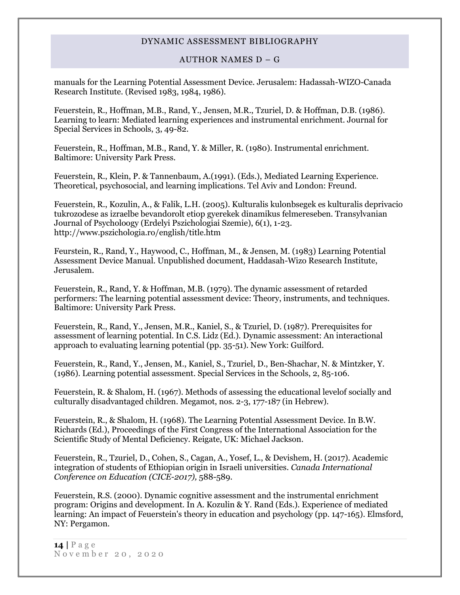#### AUTHOR NAMES D – G

manuals for the Learning Potential Assessment Device. Jerusalem: Hadassah-WIZO-Canada Research Institute. (Revised 1983, 1984, 1986).

Feuerstein, R., Hoffman, M.B., Rand, Y., Jensen, M.R., Tzuriel, D. & Hoffman, D.B. (1986). Learning to learn: Mediated learning experiences and instrumental enrichment. Journal for Special Services in Schools, 3, 49-82.

Feuerstein, R., Hoffman, M.B., Rand, Y. & Miller, R. (1980). Instrumental enrichment. Baltimore: University Park Press.

Feuerstein, R., Klein, P. & Tannenbaum, A.(1991). (Eds.), Mediated Learning Experience. Theoretical, psychosocial, and learning implications. Tel Aviv and London: Freund.

Feuerstein, R., Kozulin, A., & Falik, L.H. (2005). Kulturalis kulonbsegek es kulturalis deprivacio tukrozodese as izraelbe bevandorolt etiop gyerekek dinamikus felmereseben. Transylvanian Journal of Psycholoogy (Erdelyi Pszichologiai Szemie), 6(1), 1-23. http://www.pszichologia.ro/english/title.htm

Feurstein, R., Rand, Y., Haywood, C., Hoffman, M., & Jensen, M. (1983) Learning Potential Assessment Device Manual. Unpublished document, Haddasah-Wizo Research Institute, Jerusalem.

Feuerstein, R., Rand, Y. & Hoffman, M.B. (1979). The dynamic assessment of retarded performers: The learning potential assessment device: Theory, instruments, and techniques. Baltimore: University Park Press.

Feuerstein, R., Rand, Y., Jensen, M.R., Kaniel, S., & Tzuriel, D. (1987). Prerequisites for assessment of learning potential. In C.S. Lidz (Ed.). Dynamic assessment: An interactional approach to evaluating learning potential (pp. 35-51). New York: Guilford.

Feuerstein, R., Rand, Y., Jensen, M., Kaniel, S., Tzuriel, D., Ben-Shachar, N. & Mintzker, Y. (1986). Learning potential assessment. Special Services in the Schools, 2, 85-106.

Feuerstein, R. & Shalom, H. (1967). Methods of assessing the educational levelof socially and culturally disadvantaged children. Megamot, nos. 2-3, 177-187 (in Hebrew).

Feuerstein, R., & Shalom, H. (1968). The Learning Potential Assessment Device. In B.W. Richards (Ed.), Proceedings of the First Congress of the International Association for the Scientific Study of Mental Deficiency. Reigate, UK: Michael Jackson.

Feuerstein, R., Tzuriel, D., Cohen, S., Cagan, A., Yosef, L., & Devishem, H. (2017). Academic integration of students of Ethiopian origin in Israeli universities. *Canada International Conference on Education (CICE-2017),* 588-589.

Feuerstein, R.S. (2000). Dynamic cognitive assessment and the instrumental enrichment program: Origins and development. In A. Kozulin & Y. Rand (Eds.). Experience of mediated learning: An impact of Feuerstein's theory in education and psychology (pp. 147-165). Elmsford, NY: Pergamon.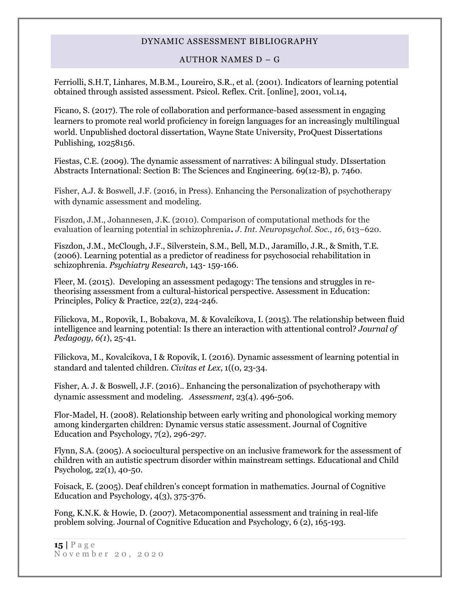#### AUTHOR NAMES D – G

Ferriolli, S.H.T, Linhares, M.B.M., Loureiro, S.R., et al. (2001). Indicators of learning potential obtained through assisted assessment. Psicol. Reflex. Crit. [online], 2001, vol.14,

Ficano, S. (2017). The role of collaboration and performance-based assessment in engaging learners to promote real world proficiency in foreign languages for an increasingly multilingual world. Unpublished doctoral dissertation, Wayne State University, ProQuest Dissertations Publishing, 10258156.

Fiestas, C.E. (2009). The dynamic assessment of narratives: A bilingual study. DIssertation Abstracts International: Section B: The Sciences and Engineering. 69(12-B), p. 7460.

Fisher, A.J. & Boswell, J.F. (2016, in Press). Enhancing the Personalization of psychotherapy with dynamic assessment and modeling.

Fiszdon, J.M., Johannesen, J.K. (2010). Comparison of computational methods for the evaluation of learning potential in schizophrenia**.** *J. Int. Neuropsychol. Soc., 16*, 613–620.

Fiszdon, J.M., McClough, J.F., Silverstein, S.M., Bell, M.D., Jaramillo, J.R., & Smith, T.E. (2006). Learning potential as a predictor of readiness for psychosocial rehabilitation in schizophrenia. *Psychiatry Research*, 143- 159-166.

Fleer, M. (2015). Developing an assessment pedagogy: The tensions and struggles in retheorising assessment from a cultural-historical perspective. Assessment in Education: Principles, Policy & Practice, 22(2), 224-246.

Filickova, M., Ropovik, I., Bobakova, M. & Kovalcikova, I. (2015). The relationship between fluid intelligence and learning potential: Is there an interaction with attentional control? *Journal of Pedagogy, 6(1*), 25-41.

Filickova, M., Kovalcikova, I & Ropovik, I. (2016). Dynamic assessment of learning potential in standard and talented children. *Civitas et Lex*, 1((0, 23-34.

Fisher, A. J. & Boswell, J.F. (2016).. Enhancing the personalization of psychotherapy with dynamic assessment and modeling. *Assessment,* 23(4). 496-506.

Flor-Madel, H. (2008). Relationship between early writing and phonological working memory among kindergarten children: Dynamic versus static assessment. Journal of Cognitive Education and Psychology, 7(2), 296-297.

Flynn, S.A. (2005). A sociocultural perspective on an inclusive framework for the assessment of children with an autistic spectrum disorder within mainstream settings. Educational and Child Psycholog, 22(1), 40-50.

Foisack, E. (2005). Deaf children's concept formation in mathematics. Journal of Cognitive Education and Psychology, 4(3), 375-376.

Fong, K.N.K. & Howie, D. (2007). Metacomponential assessment and training in real-life problem solving. Journal of Cognitive Education and Psychology, 6 (2), 165-193.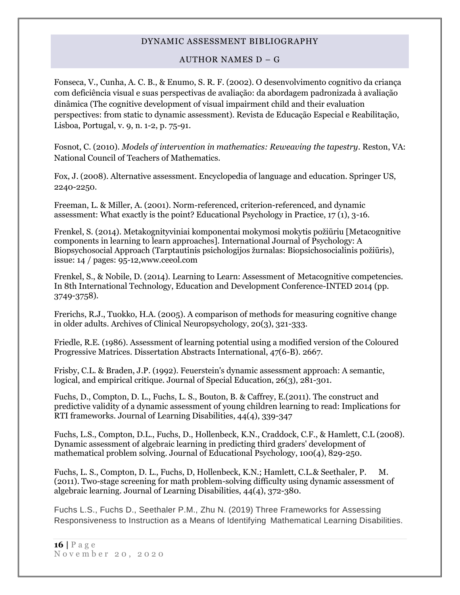### AUTHOR NAMES D – G

Fonseca, V., Cunha, A. C. B., & Enumo, S. R. F. (2002). O desenvolvimento cognitivo da criança com deficiência visual e suas perspectivas de avaliação: da abordagem padronizada à avaliação dinâmica (The cognitive development of visual impairment child and their evaluation perspectives: from static to dynamic assessment). Revista de Educação Especial e Reabilitação, Lisboa, Portugal, v. 9, n. 1-2, p. 75-91.

Fosnot, C. (2010). *Models of intervention in mathematics: Reweaving the tapestry*. Reston, VA: National Council of Teachers of Mathematics.

Fox, J. (2008). Alternative assessment. Encyclopedia of language and education. Springer US, 2240-2250.

Freeman, L. & Miller, A. (2001). Norm-referenced, criterion-referenced, and dynamic assessment: What exactly is the point? Educational Psychology in Practice, 17 (1), 3-16.

Frenkel, S. (2014). Metakognityviniai komponentai mokymosi mokytis požiūriu [Metacognitive components in learning to learn approaches]. International Journal of Psychology: A Biopsychosocial Approach (Tarptautinis psichologijos žurnalas: Biopsichosocialinis požiūris), issue: 14 / pages: 95-12,www.ceeol.com

Frenkel, S., & Nobile, D. (2014). Learning to Learn: Assessment of Metacognitive competencies. In 8th International Technology, Education and Development Conference-INTED 2014 (pp. 3749-3758).

Frerichs, R.J., Tuokko, H.A. (2005). A comparison of methods for measuring cognitive change in older adults. Archives of Clinical Neuropsychology, 20(3), 321-333.

Friedle, R.E. (1986). Assessment of learning potential using a modified version of the Coloured Progressive Matrices. Dissertation Abstracts International, 47(6-B). 2667.

Frisby, C.L. & Braden, J.P. (1992). Feuerstein's dynamic assessment approach: A semantic, logical, and empirical critique. Journal of Special Education, 26(3), 281-301.

Fuchs, D., Compton, D. L., Fuchs, L. S., Bouton, B. & Caffrey, E.(2011). The construct and predictive validity of a dynamic assessment of young children learning to read: Implications for RTI frameworks. Journal of Learning Disabilities, 44(4), 339-347

Fuchs, L.S., Compton, D.L., Fuchs, D., Hollenbeck, K.N., Craddock, C.F., & Hamlett, C.L (2008). Dynamic assessment of algebraic learning in predicting third graders' development of mathematical problem solving. Journal of Educational Psychology, 100(4), 829-250.

Fuchs, L. S., Compton, D. L., Fuchs, D, Hollenbeck, K.N.; Hamlett, C.L.& Seethaler, P. M. (2011). Two-stage screening for math problem-solving difficulty using dynamic assessment of algebraic learning. Journal of Learning Disabilities, 44(4), 372-380.

Fuchs L.S., Fuchs D., Seethaler P.M., Zhu N. (2019) Three Frameworks for Assessing Responsiveness to Instruction as a Means of Identifying Mathematical Learning Disabilities.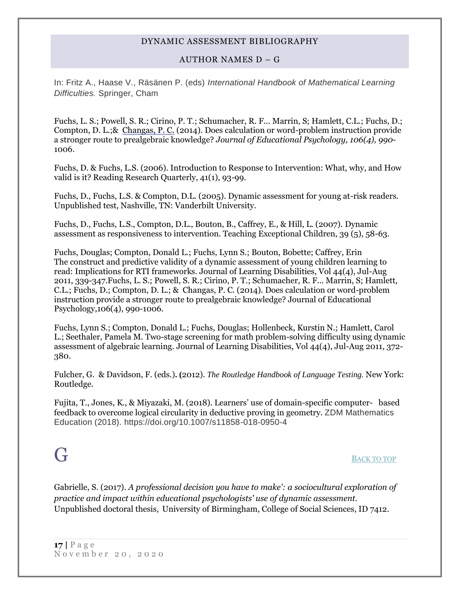### AUTHOR NAMES D – G

In: Fritz A., Haase V., Räsänen P. (eds) *International Handbook of Mathematical Learning Difficulties.* Springer, Cham

[Fuchs, L. S.;](http://psycnet.apa.org/index.cfm?fa=search.searchResults&latSearchType=a&term=Fuchs,%20Lynn%20S.) [Powell, S. R.;](http://psycnet.apa.org/index.cfm?fa=search.searchResults&latSearchType=a&term=Powell,%20Sarah%20R.) [Cirino, P. T.;](http://psycnet.apa.org/index.cfm?fa=search.searchResults&latSearchType=a&term=Cirino,%20Paul%20T.) [Schumacher, R. F..](http://psycnet.apa.org/index.cfm?fa=search.searchResults&latSearchType=a&term=Schumacher,%20Robin%20F.). Marrin, S; [Hamlett, C.L.;](http://psycnet.apa.org/index.cfm?fa=search.searchResults&latSearchType=a&term=Hamlett,%20Carol%20L.) Fuchs, D.; [Compton, D. L.;](http://psycnet.apa.org/index.cfm?fa=search.searchResults&latSearchType=a&term=Compton,%20Donald%20L.)& [Changas, P. C.](http://psycnet.apa.org/index.cfm?fa=search.searchResults&latSearchType=a&term=Changas,%20Paul%20C.) (2014). Does calculation or word-problem instruction provide a stronger route to prealgebraic knowledge? *Journal of Educational Psychology, 106(4), 990*- 1006.

Fuchs, D. & Fuchs, L.S. (2006). Introduction to Response to Intervention: What, why, and How valid is it? Reading Research Quarterly, 41(1), 93-99.

Fuchs, D., Fuchs, L.S. & Compton, D.L. (2005). Dynamic assessment for young at-risk readers. Unpublished test, Nashville, TN: Vanderbilt University.

Fuchs, D., Fuchs, L.S., Compton, D.L., Bouton, B., Caffrey, E., & Hill, L. (2007). Dynamic assessment as responsiveness to intervention. Teaching Exceptional Children, 39 (5), 58-63.

Fuchs, Douglas; Compton, Donald L.; Fuchs, Lynn S.; Bouton, Bobette; Caffrey, Erin The construct and predictive validity of a dynamic assessment of young children learning to read: Implications for RTI frameworks. Journal of Learning Disabilities, Vol 44(4), Jul-Aug 2011, 339-347.Fuchs, L. S.; Powell, S. R.; Cirino, P. T.; Schumacher, R. F... Marrin, S; Hamlett, C.L.; Fuchs, D.; Compton, D. L.; & Changas, P. C. (2014). Does calculation or word-problem instruction provide a stronger route to prealgebraic knowledge? Journal of Educational Psychology,106(4), 990-1006.

Fuchs, Lynn S.; Compton, Donald L.; Fuchs, Douglas; Hollenbeck, Kurstin N.; Hamlett, Carol L.; Seethaler, Pamela M. Two-stage screening for math problem-solving difficulty using dynamic assessment of algebraic learning. Journal of Learning Disabilities, Vol 44(4), Jul-Aug 2011, 372- 380.

Fulcher, G. & Davidson, F. (eds.)**. (**2012). *The Routledge Handbook of Language Testing.* New York: Routledge.

Fujita, T., Jones, K., & Miyazaki, M. (2018). Learners' use of domain-specific computer- based feedback to overcome logical circularity in deductive proving in geometry. ZDM Mathematics Education (2018). https://doi.org/10.1007/s11858-018-0950-4

<span id="page-16-0"></span> $G$ 

Gabrielle, S. (2017). *A professional decision you have to make': a sociocultural exploration of practice and impact within educational psychologists' use of dynamic assessment.* Unpublished doctoral thesis, University of Birmingham, College of Social Sciences, ID 7412.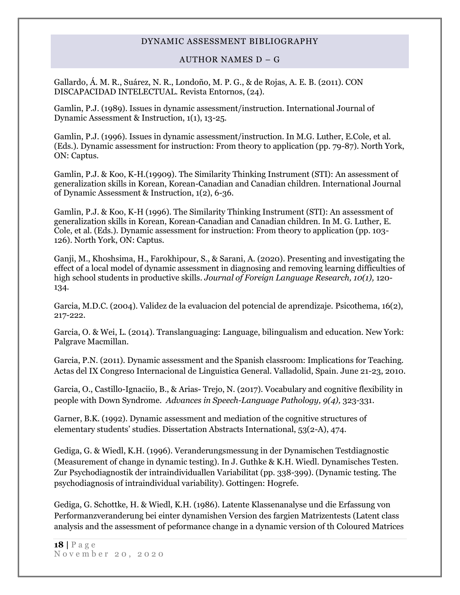#### AUTHOR NAMES D – G

Gallardo, Á. M. R., Suárez, N. R., Londoño, M. P. G., & de Rojas, A. E. B. (2011). CON DISCAPACIDAD INTELECTUAL. Revista Entornos, (24).

Gamlin, P.J. (1989). Issues in dynamic assessment/instruction. International Journal of Dynamic Assessment & Instruction, 1(1), 13-25.

Gamlin, P.J. (1996). Issues in dynamic assessment/instruction. In M.G. Luther, E.Cole, et al. (Eds.). Dynamic assessment for instruction: From theory to application (pp. 79-87). North York, ON: Captus.

Gamlin, P.J. & Koo, K-H.(19909). The Similarity Thinking Instrument (STI): An assessment of generalization skills in Korean, Korean-Canadian and Canadian children. International Journal of Dynamic Assessment & Instruction, 1(2), 6-36.

Gamlin, P.J. & Koo, K-H (1996). The Similarity Thinking Instrument (STI): An assessment of generalization skills in Korean, Korean-Canadian and Canadian children. In M. G. Luther, E. Cole, et al. (Eds.). Dynamic assessment for instruction: From theory to application (pp. 103- 126). North York, ON: Captus.

Ganji, M., Khoshsima, H., Farokhipour, S., & Sarani, A. (2020). Presenting and investigating the effect of a local model of dynamic assessment in diagnosing and removing learning difficulties of high school students in productive skills. *Journal of Foreign Language Research, 10(1),* 120- 134.

Garcia, M.D.C. (2004). Validez de la evaluacion del potencial de aprendizaje. Psicothema, 16(2), 217-222.

Garcia, O. & Wei, L. (2014). Translanguaging: Language, bilingualism and education. New York: Palgrave Macmillan.

Garcia, P.N. (2011). Dynamic assessment and the Spanish classroom: Implications for Teaching. Actas del IX Congreso Internacional de Linguistica General. Valladolid, Spain. June 21-23, 2010.

Garcia, O., Castillo-Ignaciio, B., & Arias- Trejo, N. (2017). Vocabulary and cognitive flexibility in people with Down Syndrome. *Advances in Speech-Language Pathology, 9(4),* 323-331.

Garner, B.K. (1992). Dynamic assessment and mediation of the cognitive structures of elementary students' studies. Dissertation Abstracts International, 53(2-A), 474.

Gediga, G. & Wiedl, K.H. (1996). Veranderungsmessung in der Dynamischen Testdiagnostic (Measurement of change in dynamic testing). In J. Guthke & K.H. Wiedl. Dynamisches Testen. Zur Psychodiagnostik der intraindividuallen Variabilitat (pp. 338-399). (Dynamic testing. The psychodiagnosis of intraindividual variability). Gottingen: Hogrefe.

Gediga, G. Schottke, H. & Wiedl, K.H. (1986). Latente Klassenanalyse und die Erfassung von Performanzveranderung bei einter dynamishen Version des fargien Matrizentests (Latent class analysis and the assessment of peformance change in a dynamic version of th Coloured Matrices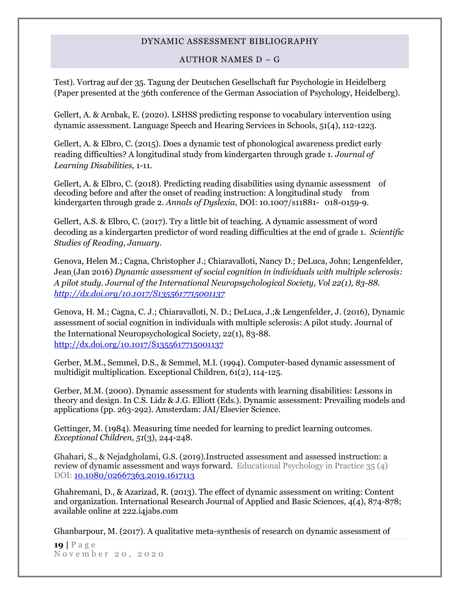#### AUTHOR NAMES D – G

Test). Vortrag auf der 35. Tagung der Deutschen Gesellschaft fur Psychologie in Heidelberg (Paper presented at the 36th conference of the German Association of Psychology, Heidelberg).

Gellert, A. & Arnbak, E. (2020). LSHSS predicting response to vocabulary intervention using dynamic assessment. Language Speech and Hearing Services in Schools, 51(4), 112-1223.

Gellert, A. & Elbro, C. (2015). Does a dynamic test of phonological awareness predict early reading difficulties? A longitudinal study from kindergarten through grade 1. *Journal of Learning Disabilities*, 1-11.

Gellert, A. & Elbro, C. (2018). Predicting reading disabilities using dynamic assessment of decoding before and after the onset of reading instruction: A longitudinal study from kindergarten through grade 2. *Annals of Dyslexia,* DOI: 10.1007/s11881- 018-0159-9.

Gellert, A.S. & Elbro, C. (2017). Try a little bit of teaching. A dynamic assessment of word decoding as a kindergarten predictor of word reading difficulties at the end of grade 1*. Scientific Studies of Reading, January*.

[Genova, Helen M.;](http://psycnet.apa.org/index.cfm?fa=search.searchResults&latSearchType=a&term=Genova,%20Helen%20M.) [Cagna, Christopher J.;](http://psycnet.apa.org/index.cfm?fa=search.searchResults&latSearchType=a&term=Cagna,%20Christopher%20J.) [Chiaravalloti, Nancy D.;](http://psycnet.apa.org/index.cfm?fa=search.searchResults&latSearchType=a&term=Chiaravalloti,%20Nancy%20D.) [DeLuca, John;](http://psycnet.apa.org/index.cfm?fa=search.searchResults&latSearchType=a&term=DeLuca,%20John) [Lengenfelder,](http://psycnet.apa.org/index.cfm?fa=search.searchResults&latSearchType=a&term=Lengenfelder,%20Jean)  [Jean](http://psycnet.apa.org/index.cfm?fa=search.searchResults&latSearchType=a&term=Lengenfelder,%20Jean) (Jan 2016) *Dynamic assessment of social cognition in individuals with multiple sclerosis: A pilot study. Journal of the International Neuropsychological Society, Vol 22(1), 83-88. http://dx.doi.org/10.1017/S1355617715001137*

[Genova, H. M.;](http://psycnet.apa.org/index.cfm?fa=search.searchResults&latSearchType=a&term=Genova,%20Helen%20M.) [Cagna, C. J.;](http://psycnet.apa.org/index.cfm?fa=search.searchResults&latSearchType=a&term=Cagna,%20Christopher%20J.) [Chiaravalloti, N. D.;](http://psycnet.apa.org/index.cfm?fa=search.searchResults&latSearchType=a&term=Chiaravalloti,%20Nancy%20D.) [DeLuca, J.;](http://psycnet.apa.org/index.cfm?fa=search.searchResults&latSearchType=a&term=DeLuca,%20John)& [Lengenfelder, J. \(2016\),](http://psycnet.apa.org/index.cfm?fa=search.searchResults&latSearchType=a&term=Lengenfelder,%20Jean) Dynamic assessment of social cognition in individuals with multiple sclerosis: A pilot study. Journal of the International Neuropsychological Society, 22(1), 83-88. http://dx.doi.org/10.1017/S1355617715001137

Gerber, M.M., Semmel, D.S., & Semmel, M.I. (1994). Computer-based dynamic assessment of multidigit multiplication. Exceptional Children, 61(2), 114-125.

Gerber, M.M. (2000). Dynamic assessment for students with learning disabilities: Lessons in theory and design. In C.S. Lidz & J.G. Elliott (Eds.). Dynamic assessment: Prevailing models and applications (pp. 263-292). Amsterdam: JAI/Elsevier Science.

Gettinger, M. (1984). Measuring time needed for learning to predict learning outcomes. *Exceptional Children, 51*(3), 244-248.

Ghahari, S., & Nejadgholami, G.S. (2019).Instructed assessment and assessed instruction: a review of dynamic assessment and ways forward. Educational Psychology in Practice 35 (4) DOI: 10.1080/02667363.2019.1617113

Ghahremani, D., & Azarizad, R. (2013). The effect of dynamic assessment on writing: Content and organization. International Research Journal of Applied and Basic Sciences, 4(4), 874-878; available online at 222.i4jabs.com

Ghanbarpour, M. (2017). A qualitative meta-synthesis of research on dynamic assessment of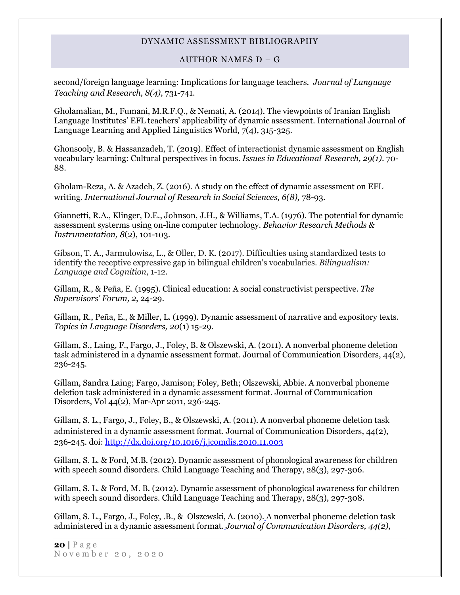#### AUTHOR NAMES D – G

second/foreign language learning: Implications for language teachers. *Journal of Language Teaching and Research, 8(4),* 731-741.

Gholamalian, M., Fumani, M.R.F.Q., & Nemati, A. (2014). The viewpoints of Iranian English Language Institutes' EFL teachers' applicability of dynamic assessment. International Journal of Language Learning and Applied Linguistics World, 7(4), 315-325.

Ghonsooly, B. & Hassanzadeh, T. (2019). Effect of interactionist dynamic assessment on English vocabulary learning: Cultural perspectives in focus*. Issues in Educational Research, 29(1)*. 70- 88.

Gholam-Reza, A. & Azadeh, Z. (2016). A study on the effect of dynamic assessment on EFL writing. *International Journal of Research in Social Sciences, 6(8),* 78-93.

Giannetti, R.A., Klinger, D.E., Johnson, J.H., & Williams, T.A. (1976). The potential for dynamic assessment systerms using on-line computer technology. *Behavior Research Methods & Instrumentation, 8*(2), 101-103.

Gibson, T. A., Jarmulowisz, L., & Oller, D. K. (2017). Difficulties using standardized tests to identify the receptive expressive gap in bilingual children's vocabularies. *Bilingualism: Language and Cognition*, 1-12.

Gillam, R., & Peña, E. (1995). Clinical education: A social constructivist perspective*. The Supervisors' Forum, 2*, 24-29.

Gillam, R., Peña, E., & Miller, L. (1999). Dynamic assessment of narrative and expository texts. *Topics in Language Disorders, 20*(1) 15-29.

Gillam, S., Laing, F., Fargo, J., Foley, B. & Olszewski, A. (2011). A nonverbal phoneme deletion task administered in a dynamic assessment format. Journal of Communication Disorders, 44(2), 236-245.

Gillam, Sandra Laing; Fargo, Jamison; Foley, Beth; Olszewski, Abbie. A nonverbal phoneme deletion task administered in a dynamic assessment format. Journal of Communication Disorders, Vol 44(2), Mar-Apr 2011, 236-245.

Gillam, S. L., Fargo, J., Foley, B., & Olszewski, A. (2011). A nonverbal phoneme deletion task administered in a dynamic assessment format. Journal of Communication Disorders, 44(2), 236-245. doi: [http://dx.doi.org/10.1016/j.jcomdis.2010.11.003](http://psycnet.apa.org/doi/10.1016/j.jcomdis.2010.11.003)

Gillam, S. L. & Ford, M.B. (2012). Dynamic assessment of phonological awareness for children with speech sound disorders. Child Language Teaching and Therapy, 28(3), 297-306.

Gillam, S. L. & Ford, M. B. (2012). Dynamic assessment of phonological awareness for children with speech sound disorders. Child Language Teaching and Therapy, 28(3), 297-308.

Gillam, S. L., Fargo, J., Foley, .B., & Olszewski, A. (2010). A nonverbal phoneme deletion task administered in a dynamic assessment format. *Journal of Communication Disorders, 44(2),*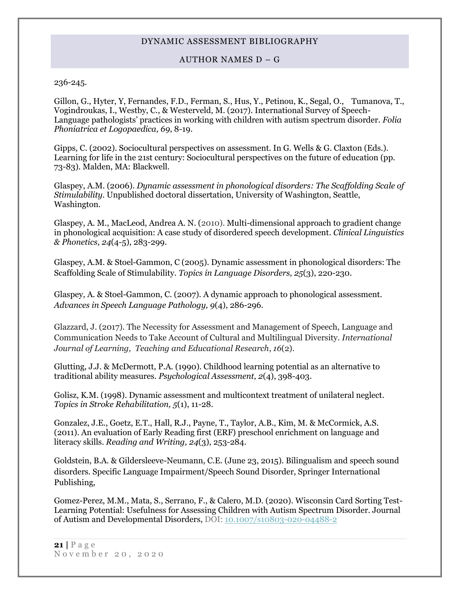#### AUTHOR NAMES D – G

236-245.

Gillon, G., Hyter, Y, Fernandes, F.D., Ferman, S., Hus, Y., Petinou, K., Segal, O., Tumanova, T., Vogindroukas, I., Westby, C., & Westerveld, M. (2017). International Survey of Speech-Language pathologists' practices in working with children with autism spectrum disorder. *Folia Phoniatrica et Logopaedica, 69*, 8-19.

Gipps, C. (2002). Sociocultural perspectives on assessment. In G. Wells & G. Claxton (Eds.). Learning for life in the 21st century: Sociocultural perspectives on the future of education (pp. 73-83). Malden, MA: Blackwell.

Glaspey, A.M. (2006). *Dynamic assessment in phonological disorders: The Scaffolding Scale of Stimulability*. Unpublished doctoral dissertation, University of Washington, Seattle, Washington.

Glaspey, A. M., MacLeod, Andrea A. N. (2010). [Multi-dimensional approach to gradient change](http://www.ingentaconnect.com/search/article?title=%22dynamic+assessment&title_type=tka&year_from=1998&year_to=2009&database=1&pageSize=50&index=17)  [in phonological acquisition: A case study of disordered speech development.](http://www.ingentaconnect.com/search/article?title=%22dynamic+assessment&title_type=tka&year_from=1998&year_to=2009&database=1&pageSize=50&index=17) *[Clinical Linguistics](http://www.ingentaconnect.com/content/apl/tclp)  [& Phonetics](http://www.ingentaconnect.com/content/apl/tclp)*, *24*(4-5), 283-299.

Glaspey, A.M. & Stoel-Gammon, C (2005). Dynamic assessment in phonological disorders: The Scaffolding Scale of Stimulability. *Topics in Language Disorders, 25*(3), 220-230.

Glaspey, A. & Stoel-Gammon, C. (2007). A dynamic approach to phonological assessment. *Advances in Speech Language Pathology, 9*(4), 286-296.

Glazzard, J. (2017). The Necessity for Assessment and Management of Speech, Language and Communication Needs to Take Account of Cultural and Multilingual Diversity. *International Journal of Learning, Teaching and Educational Research*, *16*(2).

Glutting, J.J. & McDermott, P.A. (1990). Childhood learning potential as an alternative to traditional ability measures. *Psychological Assessment, 2*(4), 398-403.

Golisz, K.M. (1998). Dynamic assessment and multicontext treatment of unilateral neglect. *Topics in Stroke Rehabilitation, 5*(1), 11-28.

Gonzalez, J.E., Goetz, E.T., Hall, R.J., Payne, T., Taylor, A.B., Kim, M. & McCormick, A.S. (2011). An evaluation of Early Reading first (ERF) preschool enrichment on language and literacy skills. *Reading and Writing, 24*(3), 253-284.

Goldstein, B.A. & Gildersleeve-Neumann, C.E. (June 23, 2015). Bilingualism and speech sound disorders. Specific Language Impairment/Speech Sound Disorder, Springer International Publishing,

Gomez-Perez, M.M., Mata, S., Serrano, F., & Calero, M.D. (2020). Wisconsin Card Sorting Test-Learning Potential: Usefulness for Assessing Children with Autism Spectrum Disorder. Journal of Autism and Developmental Disorders, DOI: [10.1007/s10803-020-04488-2](https://www.researchgate.net/deref/http%3A%2F%2Fdx.doi.org%2F10.1007%2Fs10803-020-04488-2?_sg%5B0%5D=HJmumhS4dEaDN2ldgl1QIF5AZPL1r72v76iuJmQJGyr08jFwI8Ygo_hkk50ZeJr0nkmr7K_UuSyJKkVK-8uubdY4XQ._6_nyLjVjNLOkdJScJzE8tuSIlXmX13bw72DUvpx5iYZrXA19YxFSDGc9oQ3yNqi7NwgtY7hCoWLN0I4NN9MVA)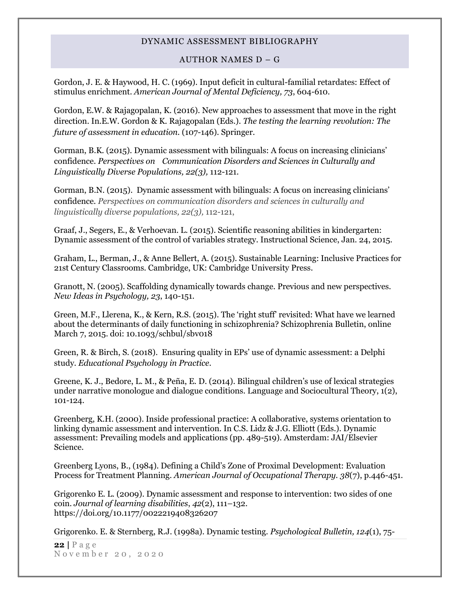#### AUTHOR NAMES D – G

Gordon, J. E. & Haywood, H. C. (1969). Input deficit in cultural-familial retardates: Effect of stimulus enrichment. *American Journal of Mental Deficiency, 73*, 604-610.

Gordon, E.W. & Rajagopalan, K. (2016). New approaches to assessment that move in the right direction. In.E.W. Gordon & K. Rajagopalan (Eds.). *The testing the learning revolution: The future of assessment in education.* (107-146). Springer.

Gorman, B.K. (2015). Dynamic assessment with bilinguals: A focus on increasing clinicians' confidence. *Perspectives on Communication Disorders and Sciences in Culturally and Linguistically Diverse Populations, 22(3),* 112-121.

Gorman, B.N. (2015). Dynamic assessment with bilinguals: A focus on increasing clinicians' confidence*. Perspectives on communication disorders and sciences in culturally and linguistically diverse populations, 22(3),* 112-121,

Graaf, J., Segers, E., & Verhoevan. L. (2015). Scientific reasoning abilities in kindergarten: Dynamic assessment of the control of variables strategy. Instructional Science, Jan. 24, 2015.

Graham, L., Berman, J., & Anne Bellert, A. (2015). Sustainable Learning: Inclusive Practices for 21st Century Classrooms. Cambridge, UK: Cambridge University Press.

Granott, N. (2005). Scaffolding dynamically towards change. Previous and new perspectives. *New Ideas in Psychology, 23*, 140-151.

Green, M.F., Llerena, K., & Kern, R.S. (2015). The 'right stuff' revisited: What have we learned about the determinants of daily functioning in schizophrenia? Schizophrenia Bulletin, online March 7, 2015. doi: 10.1093/schbul/sbv018

Green, R. & Birch, S. (2018). Ensuring quality in EPs' use of dynamic assessment: a Delphi study. *Educational Psychology in Practice.*

Greene, K. J., Bedore, L. M., & Peña, E. D. (2014). Bilingual children's use of lexical strategies under narrative monologue and dialogue conditions. Language and Sociocultural Theory, 1(2), 101-124.

Greenberg, K.H. (2000). Inside professional practice: A collaborative, systems orientation to linking dynamic assessment and intervention. In C.S. Lidz & J.G. Elliott (Eds.). Dynamic assessment: Prevailing models and applications (pp. 489-519). Amsterdam: JAI/Elsevier Science.

Greenberg Lyons, B., (1984). Defining a Child's Zone of Proximal Development: Evaluation Process for Treatment Planning. *American Journal of Occupational Therapy. 38*(7), p.446-451.

Grigorenko E. L. (2009). Dynamic assessment and response to intervention: two sides of one coin. *Journal of learning disabilities*, *42*(2), 111–132. https://doi.org/10.1177/0022219408326207

Grigorenko. E. & Sternberg, R.J. (1998a). Dynamic testing. *Psychological Bulletin, 124*(1), 75-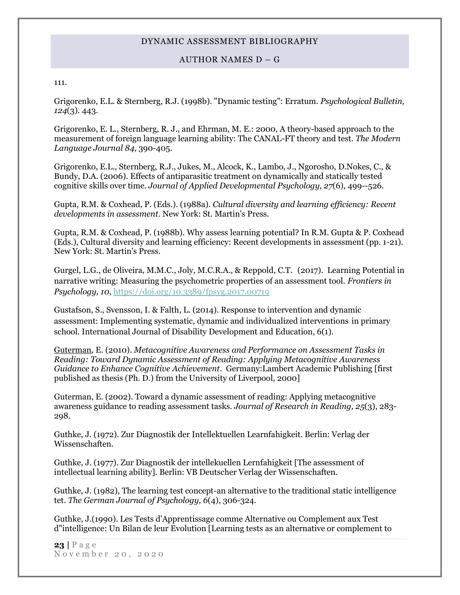#### AUTHOR NAMES D – G

#### 111.

Grigorenko, E.L. & Sternberg, R.J. (1998b). "Dynamic testing": Erratum. *Psychological Bulletin, 124*(3). 443.

Grigorenko, E. L., Sternberg, R. J., and Ehrman, M. E.: 2000, A theory-based approach to the measurement of foreign language learning ability: The CANAL-FT theory and test. *The Modern Language Journal 84*, 390-405.

Grigorenko, E.L., Sternberg, R.J., Jukes, M., Alcock, K., Lambo, J., Ngorosho, D.Nokes, C., & Bundy, D.A. (2006). Effects of antiparasitic treatment on dynamically and statically tested cognitive skills over time. *Journal of Applied Developmental Psychology, 27*(6), 499--526.

Gupta, R.M. & Coxhead, P. (Eds.). (1988a). *Cultural diversity and learning efficiency: Recent developments in assessment*. New York: St. Martin's Press.

Gupta, R.M. & Coxhead, P. (1988b). Why assess learning potential? In R.M. Gupta & P. Coxhead (Eds.), Cultural diversity and learning efficiency: Recent developments in assessment (pp. 1-21). New York: St. Martin's Press.

Gurgel, L.G., de Oliveira, M.M.C., Joly, M.C.R.A., & Reppold, C.T. (2017). Learning Potential in narrative writing: Measuring the psychometric properties of an assessment tool. *Frontiers in Psychology, 10*,<https://doi.org/10.3389/fpsyg.2017.00719>

Gustafson, S., Svensson, I. & Falth, L. (2014). Response to intervention and dynamic assessment: Implementing systematic, dynamic and individualized interventions in primary school. International Journal of Disability Development and Education, 6(1).

[Guterman,](http://www.amazon.com/s/ref=ntt_athr_dp_sr_1?_encoding=UTF8&sort=relevancerank&search-alias=books&field-author=Eva%20Guterman) E. (2010). *Metacognitive Awareness and Performance on Assessment Tasks in Reading: Toward Dynamic Assessment of Reading: Applying Metacognitive Awareness Guidance to Enhance Cognitive Achievement*. Germany:Lambert Academic Publishing [first published as thesis (Ph. D.) from the University of Liverpool, 2000]

Guterman, E. (2002). Toward a dynamic assessment of reading: Applying metacognitive awareness guidance to reading assessment tasks. *Journal of Research in Reading, 25*(3), 283- 298.

Guthke, J. (1972). Zur Diagnostik der Intellektuellen Learnfahigkeit. Berlin: Verlag der Wissenschaften.

Guthke, J. (1977). Zur Diagnostik der intellekuellen Lernfahigkeit [The assessment of intellectual learning ability]. Berlin: VB Deutscher Verlag der Wissenschaften.

Guthke, J. (1982), The learning test concept-an alternative to the traditional static intelligence tet. *The German Journal of Psychology, 6*(4), 306-324.

Guthke, J.(1990). Les Tests d'Apprentissage comme Alternative ou Complement aux Test d"intelligence: Un Bilan de leur Evolution [Learning tests as an alternative or complement to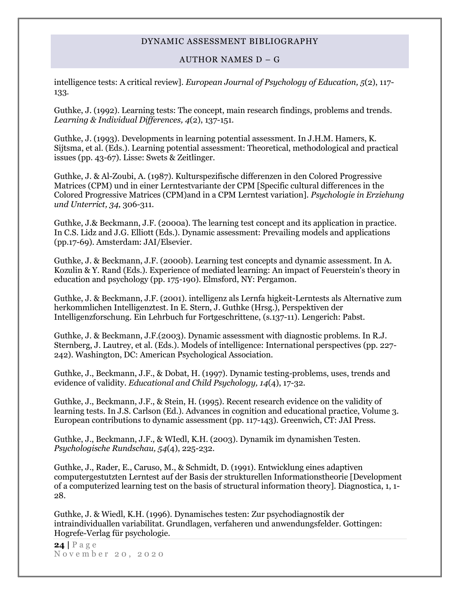### AUTHOR NAMES D – G

intelligence tests: A critical review]. *European Journal of Psychology of Education, 5*(2), 117- 133.

Guthke, J. (1992). Learning tests: The concept, main research findings, problems and trends. *Learning & Individual Differences, 4*(2), 137-151.

Guthke, J. (1993). Developments in learning potential assessment. In J.H.M. Hamers, K. Sijtsma, et al. (Eds.). Learning potential assessment: Theoretical, methodological and practical issues (pp. 43-67). Lisse: Swets & Zeitlinger.

Guthke, J. & Al-Zoubi, A. (1987). Kulturspezifische differenzen in den Colored Progressive Matrices (CPM) und in einer Lerntestvariante der CPM [Specific cultural differences in the Colored Progressive Matrices (CPM)and in a CPM Lerntest variation]. *Psychologie in Erziehung und Unterrict, 34,* 306-311.

Guthke, J.& Beckmann, J.F. (2000a). The learning test concept and its application in practice. In C.S. Lidz and J.G. Elliott (Eds.). Dynamic assessment: Prevailing models and applications (pp.17-69). Amsterdam: JAI/Elsevier.

Guthke, J. & Beckmann, J.F. (2000b). Learning test concepts and dynamic assessment. In A. Kozulin & Y. Rand (Eds.). Experience of mediated learning: An impact of Feuerstein's theory in education and psychology (pp. 175-190). Elmsford, NY: Pergamon.

Guthke, J. & Beckmann, J.F. (2001). intelligenz als Lernfa higkeit-Lerntests als Alternative zum herkommlichen Intelligenztest. In E. Stern, J. Guthke (Hrsg.), Perspektiven der Intelligenzforschung. Ein Lehrbuch fur Fortgeschrittene, (s.137-11). Lengerich: Pabst.

Guthke, J. & Beckmann, J.F.(2003). Dynamic assessment with diagnostic problems. In R.J. Sternberg, J. Lautrey, et al. (Eds.). Models of intelligence: International perspectives (pp. 227- 242). Washington, DC: American Psychological Association.

Guthke, J., Beckmann, J.F., & Dobat, H. (1997). Dynamic testing-problems, uses, trends and evidence of validity. *Educational and Child Psychology, 14*(4), 17-32.

Guthke, J., Beckmann, J.F., & Stein, H. (1995). Recent research evidence on the validity of learning tests. In J.S. Carlson (Ed.). Advances in cognition and educational practice, Volume 3. European contributions to dynamic assessment (pp. 117-143). Greenwich, CT: JAI Press.

Guthke, J., Beckmann, J.F., & WIedl, K.H. (2003). Dynamik im dynamishen Testen. *Psychologische Rundschau, 54*(4), 225-232.

Guthke, J., Rader, E., Caruso, M., & Schmidt, D. (1991). Entwicklung eines adaptiven computergestutzten Lerntest auf der Basis der strukturellen Informationstheorie [Development of a computerized learning test on the basis of structural information theory]. Diagnostica, 1, 1- 28.

Guthke, J. & Wiedl, K.H. (1996). Dynamisches testen: Zur psychodiagnostik der intraindividuallen variabilitat. Grundlagen, verfaheren und anwendungsfelder. Gottingen: Hogrefe-Verlag für psychologie.